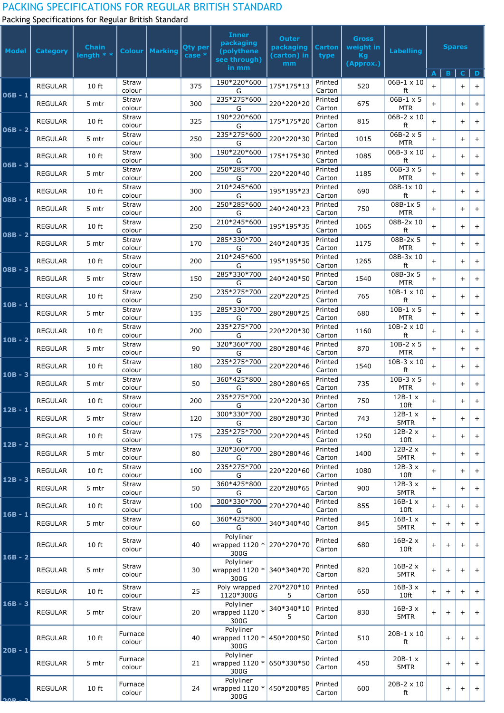## PACKING SPECIFICATIONS FOR REGULAR BRITISH STANDARD

Packing Specifications for Regular British Standard

| <b>Model</b>   | <b>Category</b> | <b>Chain</b><br>length * * |                        | <b>Colour   Marking</b> | <b>Qty per</b><br>case * | <b>Inner</b><br>packaging<br>(polythene<br>see through) | <b>Outer</b><br>packaging<br>(carton) in<br>mm | <b>Carton</b><br>type | <b>Gross</b><br>weight in<br>Kg<br>(Approx.) | <b>Labelling</b>               | <b>Spares</b> |        |              |        |
|----------------|-----------------|----------------------------|------------------------|-------------------------|--------------------------|---------------------------------------------------------|------------------------------------------------|-----------------------|----------------------------------------------|--------------------------------|---------------|--------|--------------|--------|
|                |                 |                            |                        |                         |                          | in mm                                                   |                                                |                       |                                              |                                | A             | B      | $\mathsf{c}$ | D      |
| $06B - 1$      | <b>REGULAR</b>  | 10 ft                      | <b>Straw</b><br>colour |                         | 375                      | 190*220*600<br>G                                        | 175*175*13                                     | Printed<br>Carton     | 520                                          | $06B-1 \times 10$<br>ft        | $+$           |        | $+$          | $+$    |
|                | <b>REGULAR</b>  | 5 mtr                      | <b>Straw</b><br>colour |                         | 300                      | 235*275*600<br>G                                        | 220*220*20                                     | Printed<br>Carton     | 675                                          | $06B-1 \times 5$<br><b>MTR</b> | $\ddot{}$     |        | $+$          | $+$    |
| $06B - 2$      | <b>REGULAR</b>  | 10 ft                      | <b>Straw</b><br>colour |                         | 325                      | 190*220*600<br>G                                        | 175*175*20                                     | Printed<br>Carton     | 815                                          | $06B-2 \times 10$<br>ft        | $\ddot{}$     |        | $+$          | $+$    |
|                | <b>REGULAR</b>  | 5 mtr                      | <b>Straw</b><br>colour |                         | 250                      | 235*275*600<br>G                                        | 220*220*30                                     | Printed<br>Carton     | 1015                                         | $06B-2 \times 5$<br><b>MTR</b> | $\ddot{}$     |        | $+$          | $+$    |
| $06B - 3$      | <b>REGULAR</b>  | 10 ft                      | <b>Straw</b><br>colour |                         | 300                      | 190*220*600<br>G                                        | 175*175*30                                     | Printed<br>Carton     | 1085                                         | $06B-3 \times 10$<br>ft        | $\ddot{}$     |        | $+$          | $+$    |
|                | <b>REGULAR</b>  | 5 mtr                      | <b>Straw</b><br>colour |                         | 200                      | 250*285*700<br>G                                        | 220*220*40                                     | Printed<br>Carton     | 1185                                         | $06B-3 \times 5$<br><b>MTR</b> | $\ddot{}$     |        | $+$          | $+$    |
| $08B - 1$      | <b>REGULAR</b>  | 10 ft                      | <b>Straw</b><br>colour |                         | 300                      | 210*245*600<br>G                                        | 195*195*23                                     | Printed<br>Carton     | 690                                          | 08B-1x 10<br>ft                | $+$           |        | $+$          | $\pm$  |
|                | <b>REGULAR</b>  | 5 mtr                      | <b>Straw</b><br>colour |                         | 200                      | 250*285*600<br>G                                        | 240*240*23                                     | Printed<br>Carton     | 750                                          | 08B-1x 5<br><b>MTR</b>         | $+$           |        | $+$          | $+$    |
| $08B - 2$      | <b>REGULAR</b>  | 10 ft                      | <b>Straw</b><br>colour |                         | 250                      | 210*245*600<br>G                                        | 195*195*35                                     | Printed<br>Carton     | 1065                                         | 08B-2x 10<br>ft                | $+$           |        | $+$          | $\pm$  |
|                | <b>REGULAR</b>  | 5 mtr                      | <b>Straw</b><br>colour |                         | 170                      | 285*330*700<br>G                                        | 240*240*35                                     | Printed<br>Carton     | 1175                                         | 08B-2x 5<br><b>MTR</b>         | $\ddot{}$     |        | $+$          | $+$    |
| $08B - 3$      | <b>REGULAR</b>  | 10 ft                      | <b>Straw</b><br>colour |                         | 200                      | 210*245*600<br>G                                        | 195*195*50                                     | Printed<br>Carton     | 1265                                         | 08B-3x 10<br>ft                | $+$           |        | $+$          | $+$    |
|                | <b>REGULAR</b>  | 5 mtr                      | Straw<br>colour        |                         | 150                      | 285*330*700<br>G                                        | 240*240*50                                     | Printed<br>Carton     | 1540                                         | 08B-3x 5<br><b>MTR</b>         | $\ddot{}$     |        | $+$          | $+$    |
| $10B - 1$      | <b>REGULAR</b>  | 10 ft                      | <b>Straw</b><br>colour |                         | 250                      | 235*275*700<br>G                                        | 220*220*25                                     | Printed<br>Carton     | 765                                          | $10B-1 \times 10$<br>ft        | $\ddot{}$     |        | $+$          | $^{+}$ |
|                | <b>REGULAR</b>  | 5 mtr                      | Straw<br>colour        |                         | 135                      | 285*330*700<br>G                                        | 280*280*25                                     | Printed<br>Carton     | 680                                          | $10B-1 \times 5$<br><b>MTR</b> | $+$           |        | $+$          | $+$    |
| $10B - 2$      | <b>REGULAR</b>  | 10 ft                      | <b>Straw</b><br>colour |                         | 200                      | 235*275*700<br>G                                        | 220*220*30                                     | Printed<br>Carton     | 1160                                         | $10B-2 \times 10$<br>ft        | $+$           |        | $+$          | $+$    |
|                | <b>REGULAR</b>  | 5 mtr                      | Straw<br>colour        |                         | 90                       | 320*360*700<br>G                                        | 280*280*46                                     | Printed<br>Carton     | 870                                          | $10B-2 \times 5$<br><b>MTR</b> | $\ddot{}$     |        | $+$          | $+$    |
| $10B - 3$      | <b>REGULAR</b>  | 10 ft                      | Straw<br>colour        |                         | 180                      | 235*275*700<br>G                                        | 220*220*46                                     | Printed<br>Carton     | 1540                                         | $10B-3 \times 10$<br>ft        | $+$           |        | $+$          | $+$    |
|                | <b>REGULAR</b>  | 5 mtr                      | Straw<br>colour        |                         | 50                       | 360*425*800<br>G                                        | 280*280*65                                     | Printed<br>Carton     | 735                                          | $10B-3 \times 5$<br><b>MTR</b> | $\ddot{}$     |        | $+$          | $+$    |
| $12B - 1$      | <b>REGULAR</b>  | 10 ft                      | Straw<br>colour        |                         | 200                      | 235*275*700<br>G                                        | 220*220*30                                     | Printed<br>Carton     | 750                                          | $12B-1 x$<br>10 <sub>ft</sub>  | $+$           |        | $+$          | $+$    |
|                | <b>REGULAR</b>  | 5 mtr                      | Straw<br>colour        |                         | 120                      | 300*330*700<br>G                                        | 280*280*30                                     | Printed<br>Carton     | 743                                          | $12B-1 x$<br>5MTR              | $+$           |        | $+$          | $+$    |
| $12B - 2$      | <b>REGULAR</b>  | 10 ft                      | <b>Straw</b><br>colour |                         | 175                      | 235*275*700<br>G                                        | 220*220*45                                     | Printed<br>Carton     | 1250                                         | $12B-2x$<br>10 <sub>ft</sub>   | $+$           |        | $+$          | $+$    |
|                | <b>REGULAR</b>  | 5 mtr                      | <b>Straw</b><br>colour |                         | 80                       | 320*360*700<br>G                                        | 280*280*46                                     | Printed<br>Carton     | 1400                                         | $12B-2x$<br>5MTR               | $+$           |        | $+$          | $+$    |
| $12B - 3$      | <b>REGULAR</b>  | 10 ft                      | <b>Straw</b><br>colour |                         | 100                      | 235*275*700<br>G                                        | 220*220*60                                     | Printed<br>Carton     | 1080                                         | $12B-3x$<br>10 <sub>ft</sub>   | $+$           |        | $+$          | $+$    |
|                | <b>REGULAR</b>  | 5 mtr                      | <b>Straw</b><br>colour |                         | 50                       | 360*425*800<br>G                                        | 220*280*65                                     | Printed<br>Carton     | 900                                          | $12B-3x$<br>5MTR               | $+$           |        | $+$          | $+$    |
| 16B - 1        | <b>REGULAR</b>  | 10 ft                      | <b>Straw</b><br>colour |                         | 100                      | 300*330*700<br>G                                        | 270*270*40                                     | Printed<br>Carton     | 855                                          | $16B-1 x$<br>10 <sub>ft</sub>  | $+$           | $\pm$  | $+$          | $\pm$  |
|                | <b>REGULAR</b>  | 5 mtr                      | <b>Straw</b><br>colour |                         | 60                       | 360*425*800<br>G                                        | 340*340*40                                     | Printed<br>Carton     | 845                                          | $16B-1 x$<br>5MTR              | $+$           | $+$    | $+$          | $+$    |
| $16B - 2$      | <b>REGULAR</b>  | 10 ft                      | <b>Straw</b><br>colour |                         | 40                       | Polyliner<br>wrapped 1120 * 270*270*70<br>300G          |                                                | Printed<br>Carton     | 680                                          | $16B-2x$<br>10 <sub>ft</sub>   | $+$           | $\pm$  | $+$          | $^{+}$ |
|                | <b>REGULAR</b>  | 5 mtr                      | <b>Straw</b><br>colour |                         | 30                       | Polyliner<br>wrapped $1120 *$<br>300G                   | 340*340*70                                     | Printed<br>Carton     | 820                                          | $16B-2x$<br>5MTR               | $+$           | $\pm$  | $+$          | $+$    |
| $16B - 3$      | <b>REGULAR</b>  | 10 ft                      | <b>Straw</b><br>colour |                         | 25                       | Poly wrapped<br>1120*300G                               | 270*270*10<br>5.                               | Printed<br>Carton     | 650                                          | $16B-3x$<br>10 <sub>ft</sub>   | $+$           | $^{+}$ | $+$          | $+$    |
|                | <b>REGULAR</b>  | 5 mtr                      | <b>Straw</b><br>colour |                         | 20                       | Polyliner<br>wrapped $1120$ *<br>300G                   | 340*340*10<br>5.                               | Printed<br>Carton     | 830                                          | $16B-3x$<br>5MTR               | $+$           | $^{+}$ | $+$          | $+$    |
|                | <b>REGULAR</b>  | 10 ft                      | Furnace<br>colour      |                         | 40                       | Polyliner<br>wrapped $1120$ *<br>300G                   | 450*200*50                                     | Printed<br>Carton     | 510                                          | 20B-1 x 10<br>ft               |               | $+$    | $+$          | $^{+}$ |
| $20B - 1$      | <b>REGULAR</b>  | 5 mtr                      | Furnace<br>colour      |                         | 21                       | Polyliner<br>wrapped $1120 *$<br>300G                   | 650*330*50                                     | Printed<br>Carton     | 450                                          | $20B-1 x$<br>5MTR              |               | $\pm$  | $\pm$        | $^{+}$ |
| <u>ר – סמר</u> | <b>REGULAR</b>  | 10 ft                      | Furnace<br>colour      |                         | 24                       | Polyliner<br>wrapped 1120 * 450*200*85<br>300G          |                                                | Printed<br>Carton     | 600                                          | 20B-2 x 10<br>ft               |               | $+$    | $+$          | $+$    |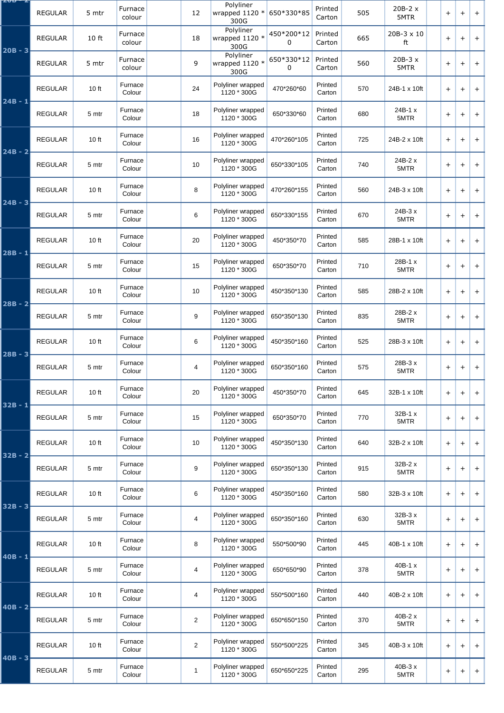| ZVD – Z   | <b>REGULAR</b> | 5 mtr | Furnace<br>colour | 12             | Polyliner<br>wrapped $1120$ *<br>300G | 650*330*85                | Printed<br>Carton | 505 | $20B-2x$<br>5MTR | $+$   | $+$ | $\overline{+}$ |
|-----------|----------------|-------|-------------------|----------------|---------------------------------------|---------------------------|-------------------|-----|------------------|-------|-----|----------------|
| $20B - 3$ | <b>REGULAR</b> | 10 ft | Furnace<br>colour | 18             | Polyliner<br>wrapped 1120 $*$<br>300G | 450*200*12<br>0           | Printed<br>Carton | 665 | 20B-3 x 10<br>ft | $+$   | $+$ | $+$            |
|           | <b>REGULAR</b> | 5 mtr | Furnace<br>colour | 9              | Polyliner<br>wrapped 1120 $*$<br>300G | 650*330*12<br>$\mathbf 0$ | Printed<br>Carton | 560 | $20B-3x$<br>5MTR | $+$   | $+$ | $+$            |
| $24B - 1$ | <b>REGULAR</b> | 10 ft | Furnace<br>Colour | 24             | Polyliner wrapped<br>1120 * 300G      | 470*260*60                | Printed<br>Carton | 570 | 24B-1 x 10ft     | $+$   | $+$ | $+$            |
|           | <b>REGULAR</b> | 5 mtr | Furnace<br>Colour | 18             | Polyliner wrapped<br>1120 * 300G      | 650*330*60                | Printed<br>Carton | 680 | 24B-1 x<br>5MTR  | $+$   | $+$ | $+$            |
| $24B - 2$ | <b>REGULAR</b> | 10 ft | Furnace<br>Colour | 16             | Polyliner wrapped<br>1120 * 300G      | 470*260*105               | Printed<br>Carton | 725 | 24B-2 x 10ft     | $+$   | $+$ | $+$            |
|           | <b>REGULAR</b> | 5 mtr | Furnace<br>Colour | 10             | Polyliner wrapped<br>1120 * 300G      | 650*330*105               | Printed<br>Carton | 740 | 24B-2 x<br>5MTR  | $+$   | $+$ | $+$            |
| $24B - 3$ | <b>REGULAR</b> | 10 ft | Furnace<br>Colour | 8              | Polyliner wrapped<br>1120 * 300G      | 470*260*155               | Printed<br>Carton | 560 | 24B-3 x 10ft     | $+$   | $+$ | $+$            |
|           | <b>REGULAR</b> | 5 mtr | Furnace<br>Colour | 6              | Polyliner wrapped<br>1120 * 300G      | 650*330*155               | Printed<br>Carton | 670 | $24B-3x$<br>5MTR | $+$   | $+$ | $+$            |
| $28B - 1$ | <b>REGULAR</b> | 10 ft | Furnace<br>Colour | 20             | Polyliner wrapped<br>1120 * 300G      | 450*350*70                | Printed<br>Carton | 585 | 28B-1 x 10ft     | $+$   | $+$ | $+$            |
|           | <b>REGULAR</b> | 5 mtr | Furnace<br>Colour | 15             | Polyliner wrapped<br>1120 * 300G      | 650*350*70                | Printed<br>Carton | 710 | 28B-1 x<br>5MTR  | $\pm$ | $+$ | $\pm$          |
| $28B - 2$ | <b>REGULAR</b> | 10 ft | Furnace<br>Colour | 10             | Polyliner wrapped<br>1120 * 300G      | 450*350*130               | Printed<br>Carton | 585 | 28B-2 x 10ft     | $\pm$ | $+$ | $+$            |
|           | <b>REGULAR</b> | 5 mtr | Furnace<br>Colour | 9              | Polyliner wrapped<br>1120 * 300G      | 650*350*130               | Printed<br>Carton | 835 | 28B-2 x<br>5MTR  | $\pm$ | $+$ | $+$            |
| $28B - 3$ | <b>REGULAR</b> | 10 ft | Furnace<br>Colour | 6              | Polyliner wrapped<br>1120 * 300G      | 450*350*160               | Printed<br>Carton | 525 | 28B-3 x 10ft     | $+$   | $+$ | $+$            |
|           | <b>REGULAR</b> | 5 mtr | Furnace<br>Colour | 4              | Polyliner wrapped<br>1120 * 300G      | 650*350*160               | Printed<br>Carton | 575 | 28B-3 x<br>5MTR  | $\pm$ | $+$ | $+$            |
| $32B - 1$ | <b>REGULAR</b> | 10 ft | Furnace<br>Colour | 20             | Polyliner wrapped<br>1120 * 300G      | 450*350*70                | Printed<br>Carton | 645 | 32B-1 x 10ft     | $+$   | $+$ | $+$            |
|           | <b>REGULAR</b> | 5 mtr | Furnace<br>Colour | 15             | Polyliner wrapped<br>1120 * 300G      | 650*350*70                | Printed<br>Carton | 770 | 32B-1 x<br>5MTR  | $+$   | $+$ | $\overline{+}$ |
| $32B - 2$ | <b>REGULAR</b> | 10 ft | Furnace<br>Colour | 10             | Polyliner wrapped<br>1120 * 300G      | 450*350*130               | Printed<br>Carton | 640 | 32B-2 x 10ft     | $+$   | $+$ | $+$            |
|           | <b>REGULAR</b> | 5 mtr | Furnace<br>Colour | 9              | Polyliner wrapped<br>1120 * 300G      | 650*350*130               | Printed<br>Carton | 915 | 32B-2 x<br>5MTR  | $+$   | $+$ | $\ddot{}$      |
| $32B - 3$ | <b>REGULAR</b> | 10 ft | Furnace<br>Colour | 6              | Polyliner wrapped<br>1120 * 300G      | 450*350*160               | Printed<br>Carton | 580 | 32B-3 x 10ft     | $+$   | $+$ | $+$            |
|           | <b>REGULAR</b> | 5 mtr | Furnace<br>Colour | 4              | Polyliner wrapped<br>1120 * 300G      | 650*350*160               | Printed<br>Carton | 630 | 32B-3 x<br>5MTR  | $+$   | $+$ | $+$            |
| $40B - 1$ | <b>REGULAR</b> | 10 ft | Furnace<br>Colour | 8              | Polyliner wrapped<br>1120 * 300G      | 550*500*90                | Printed<br>Carton | 445 | 40B-1 x 10ft     | $+$   | $+$ | $+$            |
|           | <b>REGULAR</b> | 5 mtr | Furnace<br>Colour | $\overline{4}$ | Polyliner wrapped<br>1120 * 300G      | 650*650*90                | Printed<br>Carton | 378 | 40B-1 x<br>5MTR  | $+$   | $+$ | $+$            |
| $40B - 2$ | <b>REGULAR</b> | 10 ft | Furnace<br>Colour | 4              | Polyliner wrapped<br>1120 * 300G      | 550*500*160               | Printed<br>Carton | 440 | 40B-2 x 10ft     | $+$   | $+$ | $+$            |
|           | <b>REGULAR</b> | 5 mtr | Furnace<br>Colour | $\overline{2}$ | Polyliner wrapped<br>1120 * 300G      | 650*650*150               | Printed<br>Carton | 370 | 40B-2 x<br>5MTR  | $+$   | $+$ | $+$            |
|           | <b>REGULAR</b> | 10 ft | Furnace<br>Colour | $\overline{2}$ | Polyliner wrapped<br>1120 * 300G      | 550*500*225               | Printed<br>Carton | 345 | 40B-3 x 10ft     | $+$   | $+$ | $\ddot{}$      |
| $40B - 3$ | <b>REGULAR</b> | 5 mtr | Furnace<br>Colour | 1              | Polyliner wrapped<br>1120 * 300G      | 650*650*225               | Printed<br>Carton | 295 | 40B-3 x<br>5MTR  | $+$   | $+$ | $+$            |